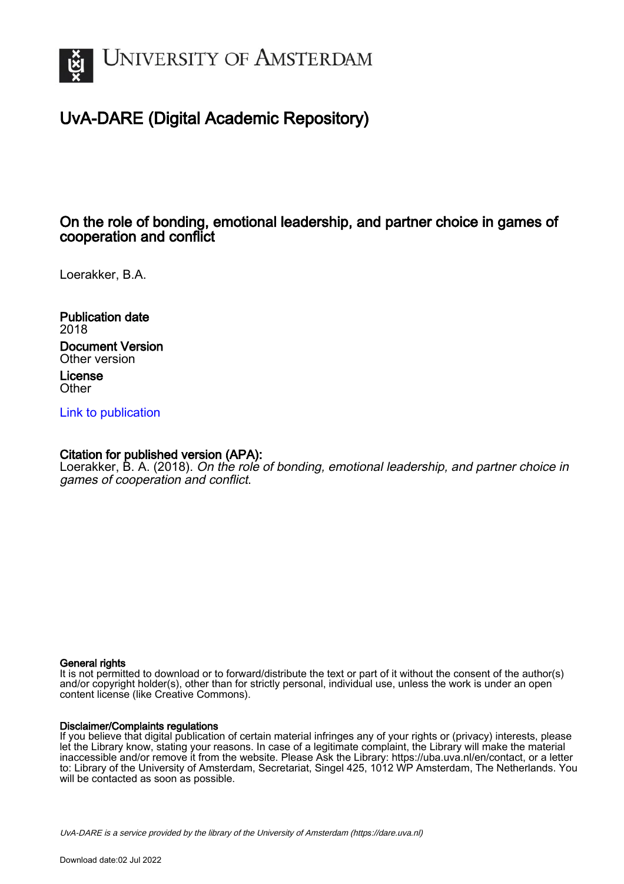

# UvA-DARE (Digital Academic Repository)

# On the role of bonding, emotional leadership, and partner choice in games of cooperation and conflict

Loerakker, B.A.

Publication date 2018 Document Version Other version

License **Other** 

[Link to publication](https://dare.uva.nl/personal/pure/en/publications/on-the-role-of-bonding-emotional-leadership-and-partner-choice-in-games-of-cooperation-and-conflict(def71b8c-2f94-41d0-a368-662c87716f46).html)

## Citation for published version (APA):

Loerakker, B. A. (2018). On the role of bonding, emotional leadership, and partner choice in games of cooperation and conflict.

#### General rights

It is not permitted to download or to forward/distribute the text or part of it without the consent of the author(s) and/or copyright holder(s), other than for strictly personal, individual use, unless the work is under an open content license (like Creative Commons).

#### Disclaimer/Complaints regulations

If you believe that digital publication of certain material infringes any of your rights or (privacy) interests, please let the Library know, stating your reasons. In case of a legitimate complaint, the Library will make the material inaccessible and/or remove it from the website. Please Ask the Library: https://uba.uva.nl/en/contact, or a letter to: Library of the University of Amsterdam, Secretariat, Singel 425, 1012 WP Amsterdam, The Netherlands. You will be contacted as soon as possible.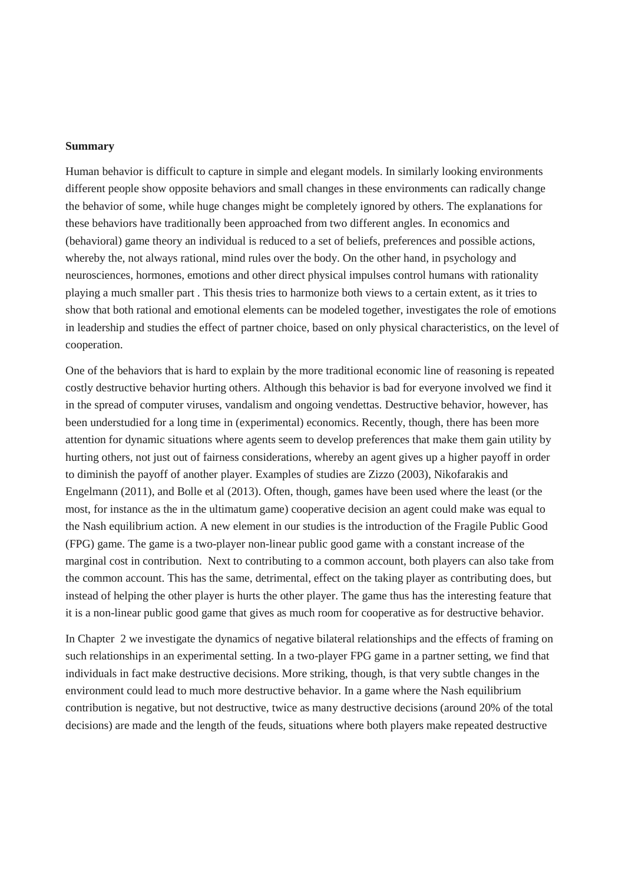### **Summary**

Human behavior is difficult to capture in simple and elegant models. In similarly looking environments different people show opposite behaviors and small changes in these environments can radically change the behavior of some, while huge changes might be completely ignored by others. The explanations for these behaviors have traditionally been approached from two different angles. In economics and (behavioral) game theory an individual is reduced to a set of beliefs, preferences and possible actions, whereby the, not always rational, mind rules over the body. On the other hand, in psychology and neurosciences, hormones, emotions and other direct physical impulses control humans with rationality playing a much smaller part . This thesis tries to harmonize both views to a certain extent, as it tries to show that both rational and emotional elements can be modeled together, investigates the role of emotions in leadership and studies the effect of partner choice, based on only physical characteristics, on the level of cooperation.

One of the behaviors that is hard to explain by the more traditional economic line of reasoning is repeated costly destructive behavior hurting others. Although this behavior is bad for everyone involved we find it in the spread of computer viruses, vandalism and ongoing vendettas. Destructive behavior, however, has been understudied for a long time in (experimental) economics. Recently, though, there has been more attention for dynamic situations where agents seem to develop preferences that make them gain utility by hurting others, not just out of fairness considerations, whereby an agent gives up a higher payoff in order to diminish the payoff of another player. Examples of studies are Zizzo (2003), Nikofarakis and Engelmann (2011), and Bolle et al (2013). Often, though, games have been used where the least (or the most, for instance as the in the ultimatum game) cooperative decision an agent could make was equal to the Nash equilibrium action. A new element in our studies is the introduction of the Fragile Public Good (FPG) game. The game is a two-player non-linear public good game with a constant increase of the marginal cost in contribution. Next to contributing to a common account, both players can also take from the common account. This has the same, detrimental, effect on the taking player as contributing does, but instead of helping the other player is hurts the other player. The game thus has the interesting feature that it is a non-linear public good game that gives as much room for cooperative as for destructive behavior.

In Chapter 2 we investigate the dynamics of negative bilateral relationships and the effects of framing on such relationships in an experimental setting. In a two-player FPG game in a partner setting, we find that individuals in fact make destructive decisions. More striking, though, is that very subtle changes in the environment could lead to much more destructive behavior. In a game where the Nash equilibrium contribution is negative, but not destructive, twice as many destructive decisions (around 20% of the total decisions) are made and the length of the feuds, situations where both players make repeated destructive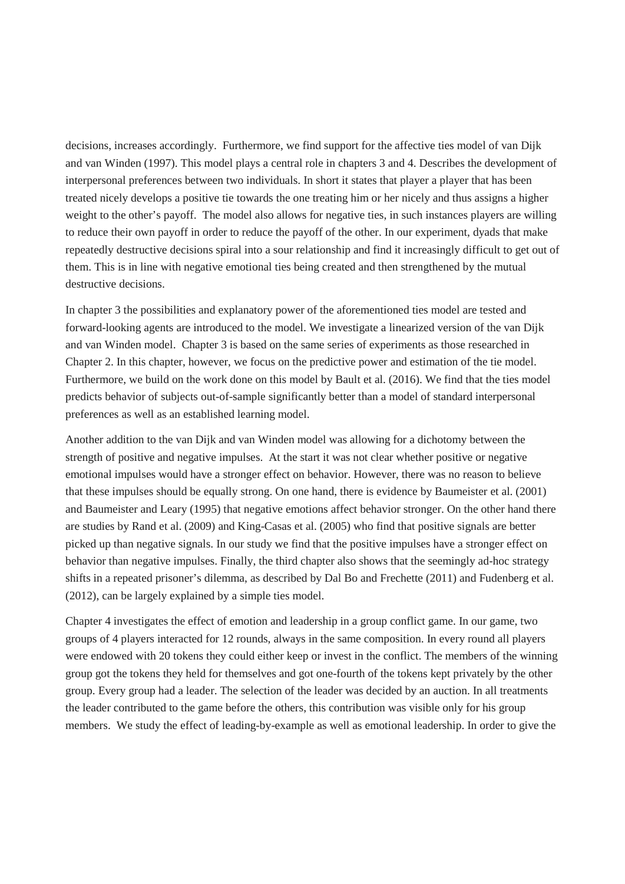decisions, increases accordingly. Furthermore, we find support for the affective ties model of van Dijk and van Winden (1997). This model plays a central role in chapters 3 and 4. Describes the development of interpersonal preferences between two individuals. In short it states that player a player that has been treated nicely develops a positive tie towards the one treating him or her nicely and thus assigns a higher weight to the other's payoff. The model also allows for negative ties, in such instances players are willing to reduce their own payoff in order to reduce the payoff of the other. In our experiment, dyads that make repeatedly destructive decisions spiral into a sour relationship and find it increasingly difficult to get out of them. This is in line with negative emotional ties being created and then strengthened by the mutual destructive decisions.

In chapter 3 the possibilities and explanatory power of the aforementioned ties model are tested and forward-looking agents are introduced to the model. We investigate a linearized version of the van Dijk and van Winden model. Chapter 3 is based on the same series of experiments as those researched in Chapter 2. In this chapter, however, we focus on the predictive power and estimation of the tie model. Furthermore, we build on the work done on this model by Bault et al. (2016). We find that the ties model predicts behavior of subjects out-of-sample significantly better than a model of standard interpersonal preferences as well as an established learning model.

Another addition to the van Dijk and van Winden model was allowing for a dichotomy between the strength of positive and negative impulses. At the start it was not clear whether positive or negative emotional impulses would have a stronger effect on behavior. However, there was no reason to believe that these impulses should be equally strong. On one hand, there is evidence by Baumeister et al. (2001) and Baumeister and Leary (1995) that negative emotions affect behavior stronger. On the other hand there are studies by Rand et al. (2009) and King-Casas et al. (2005) who find that positive signals are better picked up than negative signals. In our study we find that the positive impulses have a stronger effect on behavior than negative impulses. Finally, the third chapter also shows that the seemingly ad-hoc strategy shifts in a repeated prisoner's dilemma, as described by Dal Bo and Frechette (2011) and Fudenberg et al. (2012), can be largely explained by a simple ties model.

Chapter 4 investigates the effect of emotion and leadership in a group conflict game. In our game, two groups of 4 players interacted for 12 rounds, always in the same composition. In every round all players were endowed with 20 tokens they could either keep or invest in the conflict. The members of the winning group got the tokens they held for themselves and got one-fourth of the tokens kept privately by the other group. Every group had a leader. The selection of the leader was decided by an auction. In all treatments the leader contributed to the game before the others, this contribution was visible only for his group members. We study the effect of leading-by-example as well as emotional leadership. In order to give the